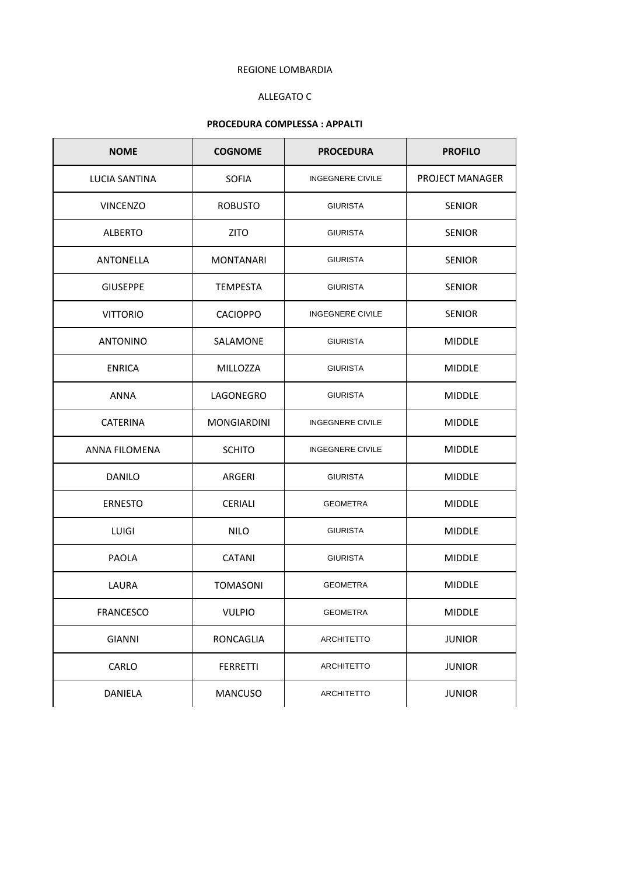### REGIONE LOMBARDIA

# ALLEGATO C

# **PROCEDURA COMPLESSA : APPALTI**

| <b>NOME</b>      | <b>COGNOME</b>     | <b>PROCEDURA</b>        | <b>PROFILO</b>  |
|------------------|--------------------|-------------------------|-----------------|
| LUCIA SANTINA    | <b>SOFIA</b>       | <b>INGEGNERE CIVILE</b> | PROJECT MANAGER |
| <b>VINCENZO</b>  | <b>ROBUSTO</b>     | <b>GIURISTA</b>         | <b>SENIOR</b>   |
| <b>ALBERTO</b>   | <b>ZITO</b>        | <b>GIURISTA</b>         | <b>SENIOR</b>   |
| ANTONELLA        | <b>MONTANARI</b>   | <b>GIURISTA</b>         | <b>SENIOR</b>   |
| <b>GIUSEPPE</b>  | <b>TEMPESTA</b>    | <b>GIURISTA</b>         | <b>SENIOR</b>   |
| <b>VITTORIO</b>  | <b>CACIOPPO</b>    | <b>INGEGNERE CIVILE</b> | <b>SENIOR</b>   |
| <b>ANTONINO</b>  | SALAMONE           | <b>GIURISTA</b>         | <b>MIDDLE</b>   |
| <b>ENRICA</b>    | MILLOZZA           | <b>GIURISTA</b>         | <b>MIDDLE</b>   |
| <b>ANNA</b>      | LAGONEGRO          | <b>GIURISTA</b>         | MIDDLE          |
| <b>CATERINA</b>  | <b>MONGIARDINI</b> | <b>INGEGNERE CIVILE</b> | <b>MIDDLE</b>   |
| ANNA FILOMENA    | <b>SCHITO</b>      | <b>INGEGNERE CIVILE</b> | <b>MIDDLE</b>   |
| <b>DANILO</b>    | ARGERI             | <b>GIURISTA</b>         | <b>MIDDLE</b>   |
| <b>ERNESTO</b>   | <b>CERIALI</b>     | <b>GEOMETRA</b>         | <b>MIDDLE</b>   |
| <b>LUIGI</b>     | <b>NILO</b>        | <b>GIURISTA</b>         | MIDDLE          |
| PAOLA            | <b>CATANI</b>      | <b>GIURISTA</b>         | <b>MIDDLE</b>   |
| LAURA            | <b>TOMASONI</b>    | <b>GEOMETRA</b>         | <b>MIDDLE</b>   |
| <b>FRANCESCO</b> | <b>VULPIO</b>      | <b>GEOMETRA</b>         | <b>MIDDLE</b>   |
| <b>GIANNI</b>    | RONCAGLIA          | <b>ARCHITETTO</b>       | <b>JUNIOR</b>   |
| CARLO            | <b>FERRETTI</b>    | <b>ARCHITETTO</b>       | <b>JUNIOR</b>   |
| DANIELA          | <b>MANCUSO</b>     | <b>ARCHITETTO</b>       | <b>JUNIOR</b>   |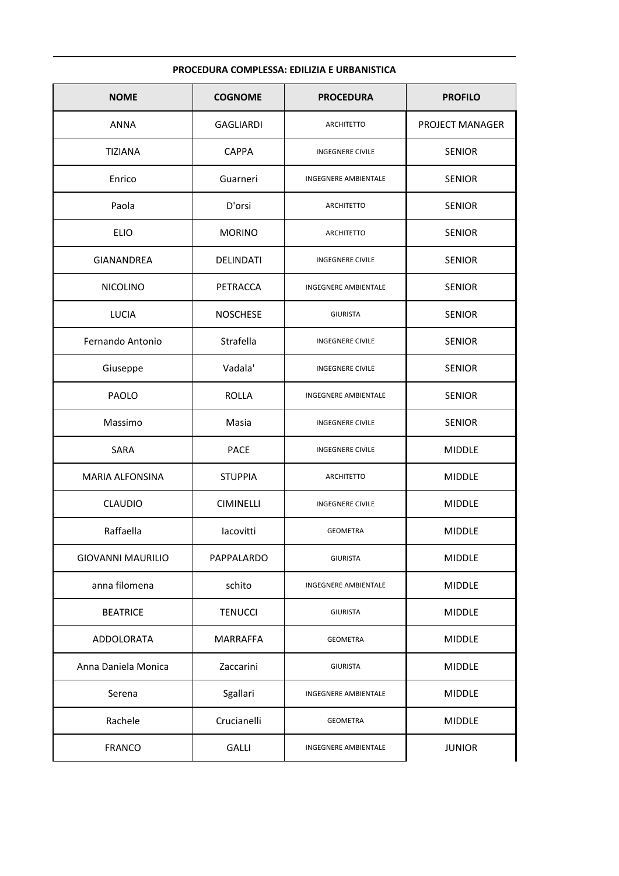### PROCEDURA COMPLESSA: EDILIZIA E URBANISTICA

| <b>NOME</b>              | <b>COGNOME</b>   | <b>PROCEDURA</b>        | <b>PROFILO</b>  |
|--------------------------|------------------|-------------------------|-----------------|
| <b>ANNA</b>              | <b>GAGLIARDI</b> | <b>ARCHITETTO</b>       | PROJECT MANAGER |
| <b>TIZIANA</b>           | <b>CAPPA</b>     | <b>INGEGNERE CIVILE</b> | <b>SENIOR</b>   |
| Enrico                   | Guarneri         | INGEGNERE AMBIENTALE    | <b>SENIOR</b>   |
| Paola                    | D'orsi           | <b>ARCHITETTO</b>       | <b>SENIOR</b>   |
| <b>ELIO</b>              | <b>MORINO</b>    | <b>ARCHITETTO</b>       | <b>SENIOR</b>   |
| <b>GIANANDREA</b>        | <b>DELINDATI</b> | <b>INGEGNERE CIVILE</b> | <b>SENIOR</b>   |
| <b>NICOLINO</b>          | PETRACCA         | INGEGNERE AMBIENTALE    | <b>SENIOR</b>   |
| LUCIA                    | <b>NOSCHESE</b>  | <b>GIURISTA</b>         | <b>SENIOR</b>   |
| Fernando Antonio         | Strafella        | <b>INGEGNERE CIVILE</b> | <b>SENIOR</b>   |
| Giuseppe                 | Vadala'          | <b>INGEGNERE CIVILE</b> | <b>SENIOR</b>   |
| <b>PAOLO</b>             | ROLLA            | INGEGNERE AMBIENTALE    | <b>SENIOR</b>   |
| Massimo                  | Masia            | <b>INGEGNERE CIVILE</b> | <b>SENIOR</b>   |
| SARA                     | <b>PACE</b>      | <b>INGEGNERE CIVILE</b> | <b>MIDDLE</b>   |
| <b>MARIA ALFONSINA</b>   | <b>STUPPIA</b>   | ARCHITETTO              | <b>MIDDLE</b>   |
| <b>CLAUDIO</b>           | <b>CIMINELLI</b> | <b>INGEGNERE CIVILE</b> | <b>MIDDLE</b>   |
| Raffaella                | lacovitti        | <b>GEOMETRA</b>         | <b>MIDDLE</b>   |
| <b>GIOVANNI MAURILIO</b> | PAPPALARDO       | <b>GIURISTA</b>         | <b>MIDDLE</b>   |
| anna filomena            | schito           | INGEGNERE AMBIENTALE    | <b>MIDDLE</b>   |
| <b>BEATRICE</b>          | <b>TENUCCI</b>   | <b>GIURISTA</b>         | <b>MIDDLE</b>   |
| ADDOLORATA               | <b>MARRAFFA</b>  | GEOMETRA                | <b>MIDDLE</b>   |
| Anna Daniela Monica      | Zaccarini        | <b>GIURISTA</b>         | <b>MIDDLE</b>   |
| Serena                   | Sgallari         | INGEGNERE AMBIENTALE    | <b>MIDDLE</b>   |
| Rachele                  | Crucianelli      | <b>GEOMETRA</b>         | <b>MIDDLE</b>   |
| <b>FRANCO</b>            | <b>GALLI</b>     | INGEGNERE AMBIENTALE    | <b>JUNIOR</b>   |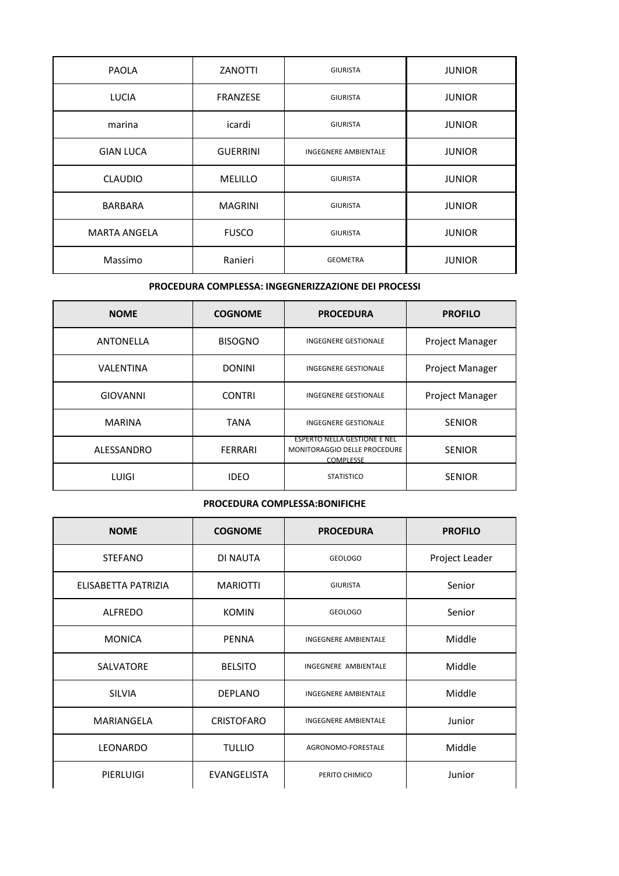| <b>PAOLA</b>        | ZANOTTI         | <b>GIURISTA</b>             | <b>JUNIOR</b> |
|---------------------|-----------------|-----------------------------|---------------|
| <b>LUCIA</b>        | <b>FRANZESE</b> | <b>GIURISTA</b>             | <b>JUNIOR</b> |
| marina              | icardi          | <b>GIURISTA</b>             | <b>JUNIOR</b> |
| <b>GIAN LUCA</b>    | <b>GUERRINI</b> | <b>INGEGNERE AMBIENTALE</b> | <b>JUNIOR</b> |
| <b>CLAUDIO</b>      | <b>MELILLO</b>  | <b>GIURISTA</b>             | <b>JUNIOR</b> |
| <b>BARBARA</b>      | <b>MAGRINI</b>  | <b>GIURISTA</b>             | <b>JUNIOR</b> |
| <b>MARTA ANGELA</b> | <b>FUSCO</b>    | <b>GIURISTA</b>             | <b>JUNIOR</b> |
| Massimo             | Ranieri         | <b>GEOMETRA</b>             | <b>JUNIOR</b> |

#### **PROCEDURA COMPLESSA: INGEGNERIZZAZIONE DEI PROCESSI**

| <b>NOME</b>      | <b>COGNOME</b> | <b>PROCEDURA</b>                                                                 | <b>PROFILO</b>         |
|------------------|----------------|----------------------------------------------------------------------------------|------------------------|
| <b>ANTONELLA</b> | <b>BISOGNO</b> | <b>INGEGNERE GESTIONALE</b>                                                      | <b>Project Manager</b> |
| VALENTINA        | <b>DONINI</b>  | <b>INGEGNERE GESTIONALE</b>                                                      | <b>Project Manager</b> |
| <b>GIOVANNI</b>  | <b>CONTRI</b>  | <b>INGEGNERE GESTIONALE</b>                                                      | Project Manager        |
| <b>MARINA</b>    | <b>TANA</b>    | <b>INGEGNERE GESTIONALE</b>                                                      | <b>SENIOR</b>          |
| ALESSANDRO       | <b>FERRARI</b> | <b>ESPERTO NELLA GESTIONE E NEL</b><br>MONITORAGGIO DELLE PROCEDURE<br>COMPLESSE | <b>SENIOR</b>          |
| LUIGI            | <b>IDEO</b>    | <b>STATISTICO</b>                                                                | <b>SENIOR</b>          |

### **PROCEDURA COMPLESSA:BONIFICHE**

| <b>NOME</b>         | <b>COGNOME</b>     | <b>PROCEDURA</b>            | <b>PROFILO</b> |
|---------------------|--------------------|-----------------------------|----------------|
| <b>STEFANO</b>      | DI NAUTA           | <b>GEOLOGO</b>              | Project Leader |
| ELISABETTA PATRIZIA | <b>MARIOTTI</b>    | <b>GIURISTA</b>             | Senior         |
| <b>ALFREDO</b>      | <b>KOMIN</b>       | <b>GEOLOGO</b>              | Senior         |
| <b>MONICA</b>       | <b>PENNA</b>       | <b>INGEGNERE AMBIENTALE</b> | Middle         |
| <b>SALVATORE</b>    | <b>BELSITO</b>     | INGEGNERE AMBIENTALE        | Middle         |
| <b>SILVIA</b>       | <b>DEPLANO</b>     | <b>INGEGNERE AMBIENTALE</b> | Middle         |
| MARIANGELA          | <b>CRISTOFARO</b>  | <b>INGEGNERE AMBIENTALE</b> | Junior         |
| LEONARDO            | <b>TULLIO</b>      | AGRONOMO-FORESTALE          | Middle         |
| PIERLUIGI           | <b>EVANGELISTA</b> | PERITO CHIMICO              | Junior         |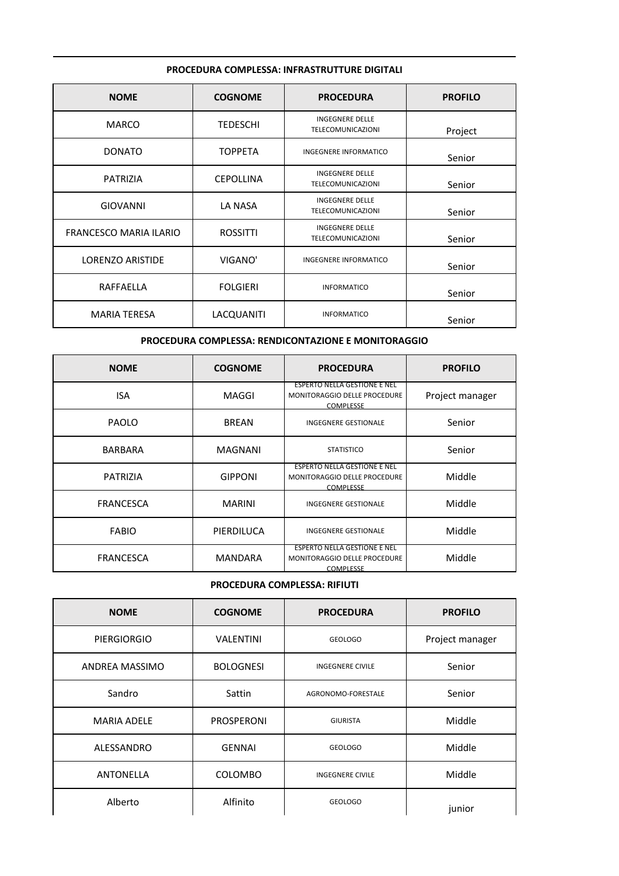### **PROCEDURA COMPLESSA: INFRASTRUTTURE DIGITALI**

| <b>NOME</b>                   | <b>COGNOME</b>   | <b>PROCEDURA</b>                                   | <b>PROFILO</b> |
|-------------------------------|------------------|----------------------------------------------------|----------------|
| <b>MARCO</b>                  | TEDESCHI         | <b>INGEGNERE DELLE</b><br><b>TELECOMUNICAZIONI</b> | Project        |
| <b>DONATO</b>                 | <b>TOPPETA</b>   | <b>INGEGNERE INFORMATICO</b>                       | Senior         |
| <b>PATRIZIA</b>               | <b>CEPOLLINA</b> | <b>INGEGNERE DELLE</b><br><b>TELECOMUNICAZIONI</b> | Senior         |
| <b>GIOVANNI</b>               | LA NASA          | <b>INGEGNERE DELLE</b><br><b>TELECOMUNICAZIONI</b> | Senior         |
| <b>FRANCESCO MARIA ILARIO</b> | <b>ROSSITTI</b>  | <b>INGEGNERE DELLE</b><br><b>TELECOMUNICAZIONI</b> | Senior         |
| LORENZO ARISTIDE              | VIGANO'          | <b>INGEGNERE INFORMATICO</b>                       | Senior         |
| RAFFAELLA                     | <b>FOLGIERI</b>  | <b>INFORMATICO</b>                                 | Senior         |
| <b>MARIA TERESA</b>           | LACQUANITI       | <b>INFORMATICO</b>                                 | Senior         |

# **PROCEDURA COMPLESSA: RENDICONTAZIONE E MONITORAGGIO**

| <b>NOME</b>      | <b>COGNOME</b> | <b>PROCEDURA</b>                                                                        | <b>PROFILO</b>  |
|------------------|----------------|-----------------------------------------------------------------------------------------|-----------------|
| <b>ISA</b>       | MAGGI          | <b>ESPERTO NELLA GESTIONE E NEL</b><br>MONITORAGGIO DELLE PROCEDURE<br>COMPLESSE        | Project manager |
| <b>PAOLO</b>     | <b>BREAN</b>   | <b>INGEGNERE GESTIONALE</b>                                                             | Senior          |
| <b>BARBARA</b>   | <b>MAGNANI</b> | <b>STATISTICO</b>                                                                       | Senior          |
| <b>PATRIZIA</b>  | <b>GIPPONI</b> | <b>ESPERTO NELLA GESTIONE E NEL</b><br>MONITORAGGIO DELLE PROCEDURE<br>COMPLESSE        | Middle          |
| <b>FRANCESCA</b> | <b>MARINI</b>  | <b>INGEGNERE GESTIONALE</b>                                                             | Middle          |
| <b>FABIO</b>     | PIERDILUCA     | <b>INGEGNERE GESTIONALE</b>                                                             | Middle          |
| <b>FRANCESCA</b> | MANDARA        | <b>ESPERTO NELLA GESTIONE E NEL</b><br>MONITORAGGIO DELLE PROCEDURE<br><b>COMPLESSE</b> | Middle          |

## **PROCEDURA COMPLESSA: RIFIUTI**

| <b>NOME</b>        | <b>COGNOME</b>   | <b>PROCEDURA</b>        | <b>PROFILO</b>  |
|--------------------|------------------|-------------------------|-----------------|
| <b>PIERGIORGIO</b> | <b>VALENTINI</b> | <b>GEOLOGO</b>          | Project manager |
| ANDREA MASSIMO     | <b>BOLOGNESI</b> | <b>INGEGNERE CIVILE</b> | Senior          |
| Sandro             | Sattin           | AGRONOMO-FORESTALE      | Senior          |
| <b>MARIA ADELE</b> | PROSPERONI       | <b>GIURISTA</b>         | Middle          |
| ALESSANDRO         | <b>GENNAI</b>    | <b>GEOLOGO</b>          | Middle          |
| <b>ANTONELLA</b>   | <b>COLOMBO</b>   | <b>INGEGNERE CIVILE</b> | Middle          |
| Alberto            | Alfinito         | <b>GEOLOGO</b>          | junior          |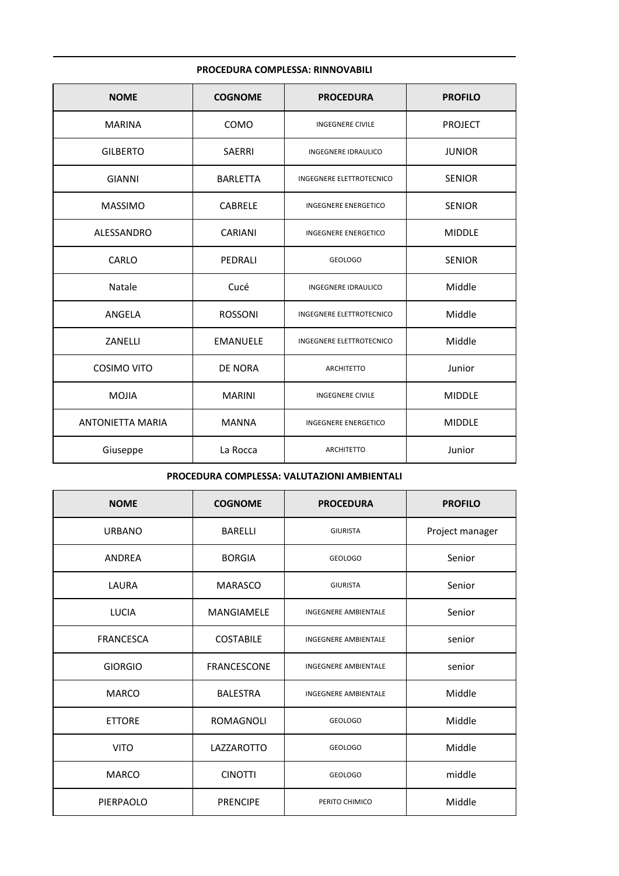### **PROCEDURA COMPLESSA: RINNOVABILI**

| <b>NOME</b>             | <b>COGNOME</b>  | <b>PROCEDURA</b>                | <b>PROFILO</b> |
|-------------------------|-----------------|---------------------------------|----------------|
| <b>MARINA</b>           | COMO            | <b>INGEGNERE CIVILE</b>         | <b>PROJECT</b> |
| <b>GILBERTO</b>         | SAERRI          | INGEGNERE IDRAULICO             | <b>JUNIOR</b>  |
| <b>GIANNI</b>           | <b>BARLETTA</b> | INGEGNERE ELETTROTECNICO        | <b>SENIOR</b>  |
| <b>MASSIMO</b>          | <b>CABRELE</b>  | <b>INGEGNERE ENERGETICO</b>     | <b>SENIOR</b>  |
| ALESSANDRO              | <b>CARIANI</b>  | INGEGNERE ENERGETICO            | <b>MIDDLE</b>  |
| CARLO                   | PEDRALI         | <b>GEOLOGO</b>                  | <b>SENIOR</b>  |
| Natale                  | Cucé            | <b>INGEGNERE IDRAULICO</b>      | Middle         |
| ANGELA                  | <b>ROSSONI</b>  | <b>INGEGNERE ELETTROTECNICO</b> | Middle         |
| ZANELLI                 | <b>EMANUELE</b> | INGEGNERE ELETTROTECNICO        | Middle         |
| COSIMO VITO             | <b>DE NORA</b>  | <b>ARCHITETTO</b>               | Junior         |
| <b>MOJIA</b>            | <b>MARINI</b>   | <b>INGEGNERE CIVILE</b>         | <b>MIDDLE</b>  |
| <b>ANTONIETTA MARIA</b> | <b>MANNA</b>    | <b>INGEGNERE ENERGETICO</b>     | <b>MIDDLE</b>  |
| Giuseppe                | La Rocca        | <b>ARCHITETTO</b>               | Junior         |

## **PROCEDURA COMPLESSA: VALUTAZIONI AMBIENTALI**

| <b>NOME</b>      | <b>COGNOME</b>   | <b>PROCEDURA</b>            | <b>PROFILO</b>  |
|------------------|------------------|-----------------------------|-----------------|
| <b>URBANO</b>    | <b>BARELLI</b>   | <b>GIURISTA</b>             | Project manager |
| ANDREA           | <b>BORGIA</b>    | <b>GEOLOGO</b>              | Senior          |
| LAURA            | <b>MARASCO</b>   | <b>GIURISTA</b>             | Senior          |
| <b>LUCIA</b>     | MANGIAMELE       | <b>INGEGNERE AMBIENTALE</b> | Senior          |
| <b>FRANCESCA</b> | <b>COSTABILE</b> | <b>INGEGNERE AMBIENTALE</b> | senior          |
| <b>GIORGIO</b>   | FRANCESCONE      | <b>INGEGNERE AMBIENTALE</b> | senior          |
| <b>MARCO</b>     | <b>BALESTRA</b>  | <b>INGEGNERE AMBIENTALE</b> | Middle          |
| <b>ETTORE</b>    | <b>ROMAGNOLI</b> | <b>GEOLOGO</b>              | Middle          |
| <b>VITO</b>      | LAZZAROTTO       | <b>GEOLOGO</b>              | Middle          |
| <b>MARCO</b>     | <b>CINOTTI</b>   | <b>GEOLOGO</b>              | middle          |
| PIERPAOLO        | <b>PRENCIPE</b>  | PERITO CHIMICO              | Middle          |